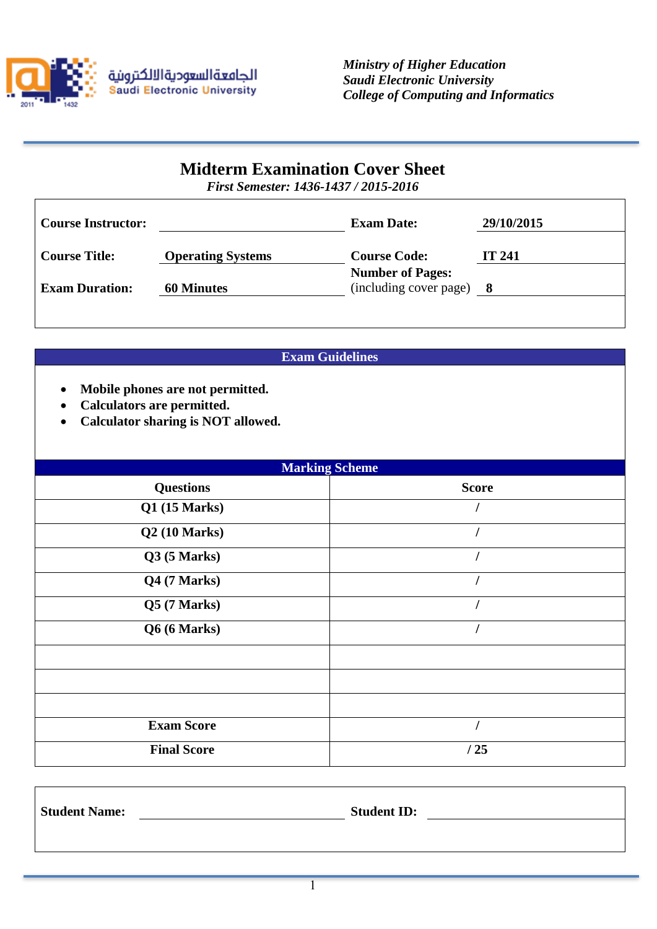

# **Midterm Examination Cover Sheet**

*First Semester: 1436-1437 / 2015-2016*

| <b>Course Instructor:</b> |                          | <b>Exam Date:</b>                                   | 29/10/2015 |
|---------------------------|--------------------------|-----------------------------------------------------|------------|
| <b>Course Title:</b>      | <b>Operating Systems</b> | <b>Course Code:</b>                                 | IT 241     |
| <b>Exam Duration:</b>     | <b>60 Minutes</b>        | <b>Number of Pages:</b><br>(including cover page) 8 |            |
|                           |                          |                                                     |            |

# **Exam Guidelines**

- **Mobile phones are not permitted.**
- **Calculators are permitted.**

 $\mathsf{T}$ 

**Calculator sharing is NOT allowed.**

| <b>Marking Scheme</b> |              |  |  |  |
|-----------------------|--------------|--|--|--|
| <b>Questions</b>      | <b>Score</b> |  |  |  |
| Q1(15 Marks)          |              |  |  |  |
| Q2(10 Marks)          |              |  |  |  |
| Q3(5 Marks)           |              |  |  |  |
| Q4 (7 Marks)          |              |  |  |  |
| Q5(7 Marks)           |              |  |  |  |
| Q6 (6 Marks)          |              |  |  |  |
|                       |              |  |  |  |
|                       |              |  |  |  |
|                       |              |  |  |  |
| <b>Exam Score</b>     |              |  |  |  |
| <b>Final Score</b>    | /25          |  |  |  |

| <b>Student Name:</b> | <b>Student ID:</b> |
|----------------------|--------------------|
|                      |                    |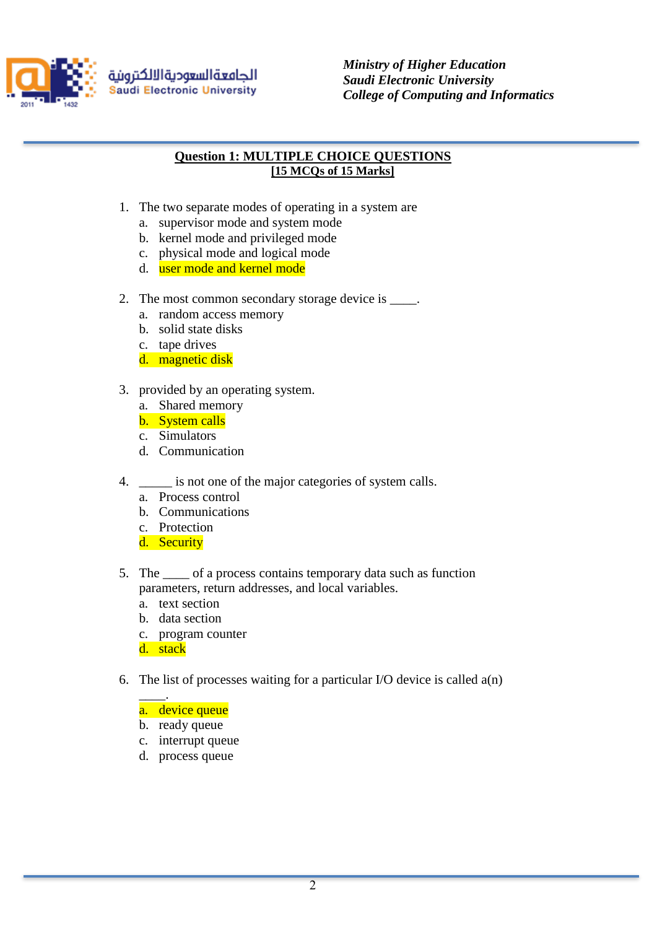

الجامعةالسعوديةالالكترونية **Saudi Electronic University**  *Ministry of Higher Education Saudi Electronic University College of Computing and Informatics*

### **Question 1: MULTIPLE CHOICE QUESTIONS [15 MCQs of 15 Marks]**

- 1. The two separate modes of operating in a system are
	- a. supervisor mode and system mode
	- b. kernel mode and privileged mode
	- c. physical mode and logical mode
	- d. user mode and kernel mode
- 2. The most common secondary storage device is \_\_\_\_.
	- a. random access memory
	- b. solid state disks
	- c. tape drives
	- d. magnetic disk
- 3. provided by an operating system.
	- a. Shared memory
	- b. System calls
	- c. Simulators
	- d. Communication
- 4.  $\quad$  is not one of the major categories of system calls.
	- a. Process control
	- b. Communications
	- c. Protection
	- d. Security
- 5. The \_\_\_\_ of a process contains temporary data such as function parameters, return addresses, and local variables.
	- a. text section
	- b. data section
	- c. program counter

d. stack

- 6. The list of processes waiting for a particular I/O device is called  $a(n)$ 
	- \_\_\_\_. a. device queue
	- b. ready queue
	- c. interrupt queue
	- d. process queue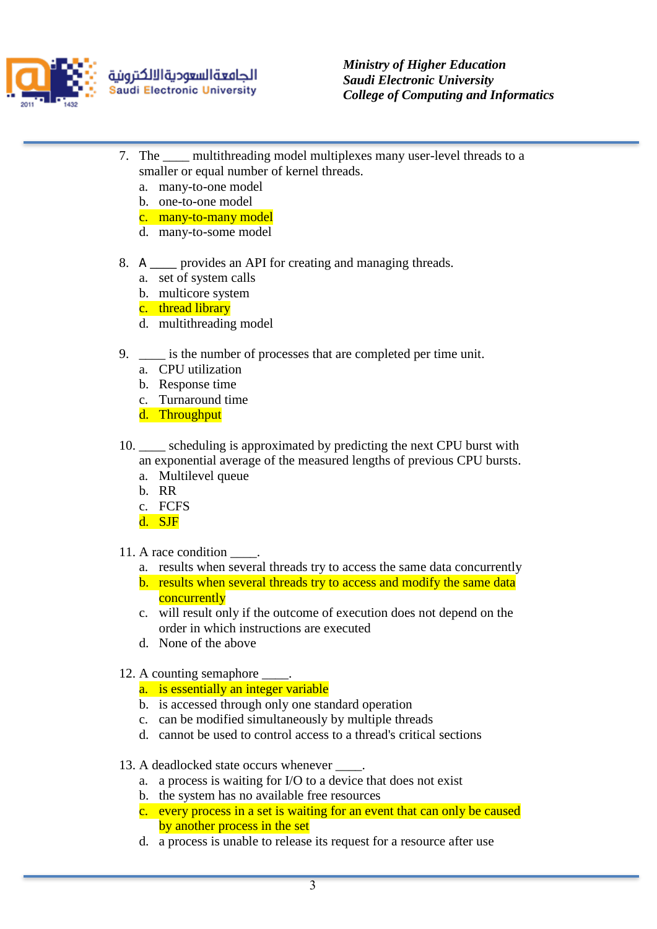

- 7. The \_\_\_\_ multithreading model multiplexes many user-level threads to a smaller or equal number of kernel threads.
	- a. many-to-one model
	- b. one-to-one model
	- c. many-to-many model
	- d. many-to-some model
- 8. A same provides an API for creating and managing threads.
	- a. set of system calls
	- b. multicore system
	- c. thread library
	- d. multithreading model
- 9. \_\_\_\_ is the number of processes that are completed per time unit.
	- a. CPU utilization
	- b. Response time
	- c. Turnaround time
	- d. Throughput
- 10. \_\_\_\_ scheduling is approximated by predicting the next CPU burst with an exponential average of the measured lengths of previous CPU bursts.
	- a. Multilevel queue
	- b. RR
	- c. FCFS
	- d. SJF
- 11. A race condition \_\_\_\_.
	- a. results when several threads try to access the same data concurrently
	- b. results when several threads try to access and modify the same data **concurrently**
	- c. will result only if the outcome of execution does not depend on the order in which instructions are executed
	- d. None of the above
- 12. A counting semaphore \_\_\_\_.
	- a. is essentially an integer variable
	- b. is accessed through only one standard operation
	- c. can be modified simultaneously by multiple threads
	- d. cannot be used to control access to a thread's critical sections
- 13. A deadlocked state occurs whenever
	- a. a process is waiting for I/O to a device that does not exist
	- b. the system has no available free resources
	- c. every process in a set is waiting for an event that can only be caused by another process in the set
	- d. a process is unable to release its request for a resource after use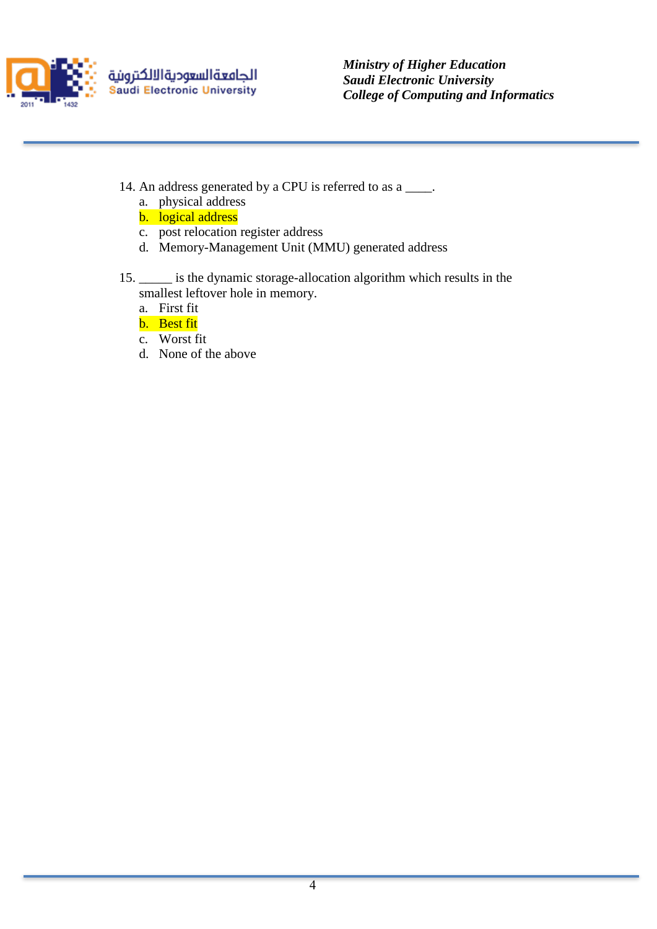

الجامعةالسعوديةالالكترونية Saudi Electronic University

*Ministry of Higher Education Saudi Electronic University College of Computing and Informatics*

- 14. An address generated by a CPU is referred to as a \_\_\_\_.
	- a. physical address
	- b. logical address
	- c. post relocation register address
	- d. Memory-Management Unit (MMU) generated address
- 15. \_\_\_\_\_ is the dynamic storage-allocation algorithm which results in the smallest leftover hole in memory.
	- a. First fit
	- b. Best fit
	- c. Worst fit
	- d. None of the above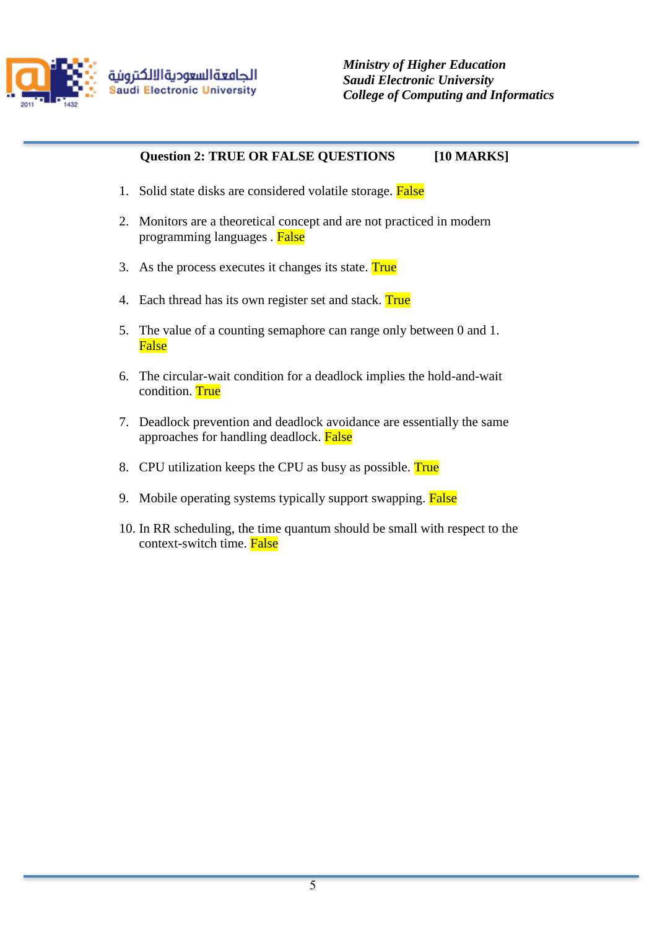

# **Question 2: TRUE OR FALSE QUESTIONS [10 MARKS]**

- 1. Solid state disks are considered volatile storage. False
- 2. Monitors are a theoretical concept and are not practiced in modern programming languages . False
- 3. As the process executes it changes its state. True
- 4. Each thread has its own register set and stack. True
- 5. The value of a counting semaphore can range only between 0 and 1. False
- 6. The circular-wait condition for a deadlock implies the hold-and-wait condition. True
- 7. Deadlock prevention and deadlock avoidance are essentially the same approaches for handling deadlock. False
- 8. CPU utilization keeps the CPU as busy as possible. True
- 9. Mobile operating systems typically support swapping. False
- 10. In RR scheduling, the time quantum should be small with respect to the context-switch time. False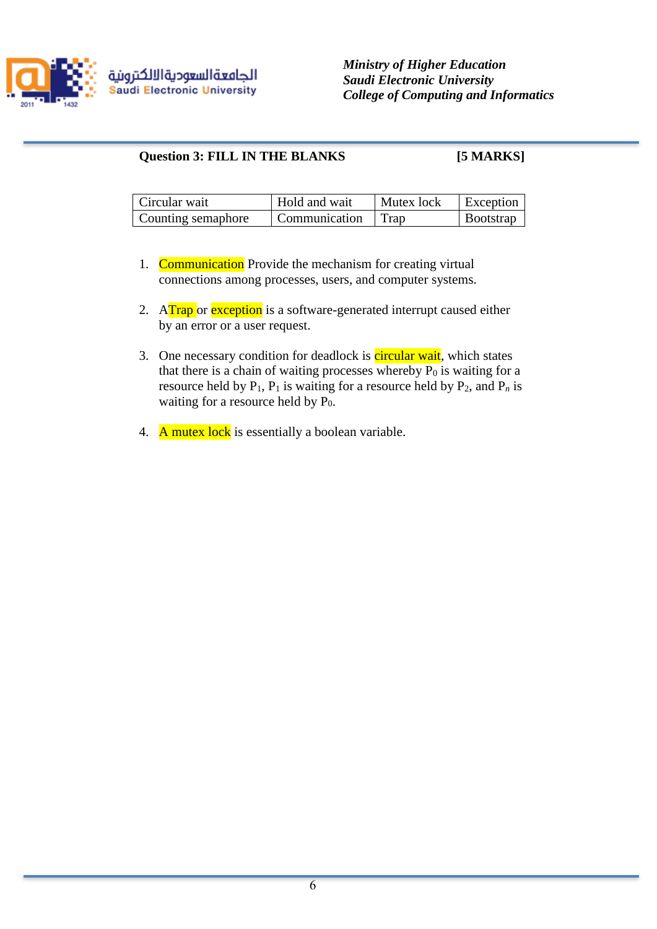

### Question 3: FILL IN THE BLANKS [5 MARKS]

| Circular wait      | Hold and wait      | Mutex lock | Exception        |
|--------------------|--------------------|------------|------------------|
| Counting semaphore | Communication Trap |            | <b>Bootstrap</b> |

- 1. Communication Provide the mechanism for creating virtual connections among processes, users, and computer systems.
- 2. ATrap or exception is a software-generated interrupt caused either by an error or a user request.
- 3. One necessary condition for deadlock is circular wait, which states that there is a chain of waiting processes whereby  $P_0$  is waiting for a resource held by  $P_1$ ,  $P_1$  is waiting for a resource held by  $P_2$ , and  $P_n$  is waiting for a resource held by  $P_0$ .
- 4. A mutex lock is essentially a boolean variable.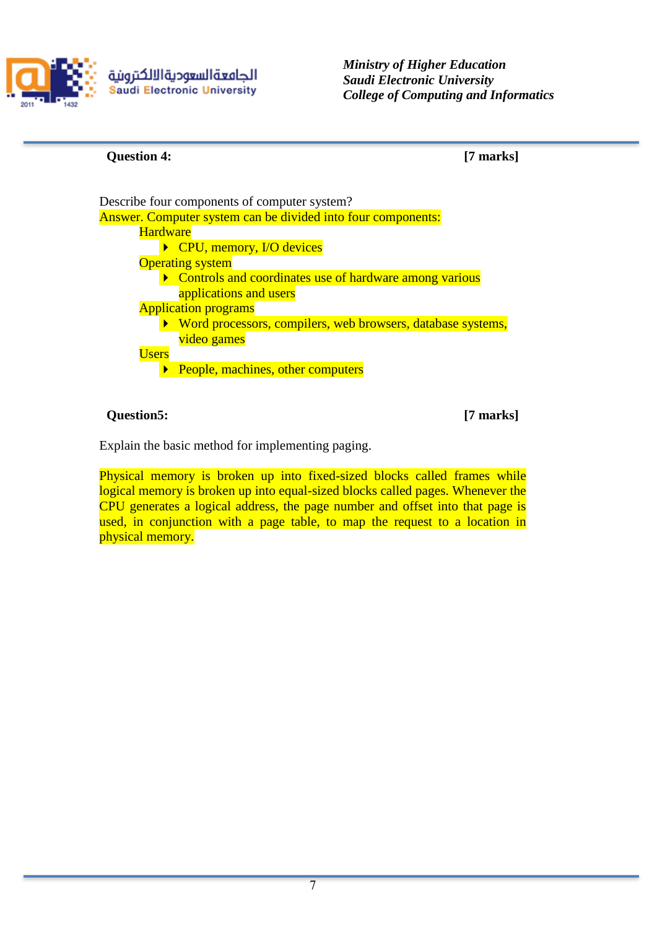

الجامعةالسعوديةالالكترونية **Saudi Electronic University**  *Ministry of Higher Education Saudi Electronic University College of Computing and Informatics*

#### **Question 4: [7 marks]**

Describe four components of computer system? Answer. Computer system can be divided into four components: **Hardware** ▶ CPU, memory, I/O devices **Operating system** • Controls and coordinates use of hardware among various applications and users Application programs ▶ Word processors, compilers, web browsers, database systems, video games Users **People, machines, other computers** 

**Question5: [7 marks]**

Explain the basic method for implementing paging.

Physical memory is broken up into fixed-sized blocks called frames while logical memory is broken up into equal-sized blocks called pages. Whenever the CPU generates a logical address, the page number and offset into that page is used, in conjunction with a page table, to map the request to a location in physical memory.